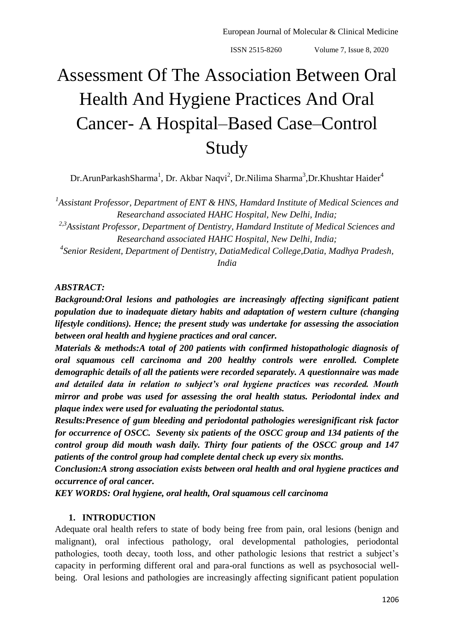# Assessment Of The Association Between Oral Health And Hygiene Practices And Oral Cancer- A Hospital–Based Case–Control Study

Dr.ArunParkashSharma<sup>1</sup>, Dr. Akbar Naqvi<sup>2</sup>, Dr.Nilima Sharma<sup>3</sup>,Dr.Khushtar Haider<sup>4</sup>

<sup>1</sup> Assistant Professor, Department of ENT & HNS, Hamdard Institute of Medical Sciences and *Researchand associated HAHC Hospital, New Delhi, India;*

*2,3Assistant Professor, Department of Dentistry, Hamdard Institute of Medical Sciences and Researchand associated HAHC Hospital, New Delhi, India;*

*4 Senior Resident, Department of Dentistry, DatiaMedical College,Datia, Madhya Pradesh, India*

#### *ABSTRACT:*

*Background:Oral lesions and pathologies are increasingly affecting significant patient population due to inadequate dietary habits and adaptation of western culture (changing lifestyle conditions). Hence; the present study was undertake for assessing the association between oral health and hygiene practices and oral cancer.*

*Materials & methods:A total of 200 patients with confirmed histopathologic diagnosis of oral squamous cell carcinoma and 200 healthy controls were enrolled. Complete demographic details of all the patients were recorded separately. A questionnaire was made and detailed data in relation to subject's oral hygiene practices was recorded. Mouth mirror and probe was used for assessing the oral health status. Periodontal index and plaque index were used for evaluating the periodontal status.* 

*Results:Presence of gum bleeding and periodontal pathologies weresignificant risk factor for occurrence of OSCC. Seventy six patients of the OSCC group and 134 patients of the control group did mouth wash daily. Thirty four patients of the OSCC group and 147 patients of the control group had complete dental check up every six months.*

*Conclusion:A strong association exists between oral health and oral hygiene practices and occurrence of oral cancer.* 

*KEY WORDS: Oral hygiene, oral health, Oral squamous cell carcinoma* 

#### **1. INTRODUCTION**

Adequate oral health refers to state of body being free from pain, oral lesions (benign and malignant), oral infectious pathology, oral developmental pathologies, periodontal pathologies, tooth decay, tooth loss, and other pathologic lesions that restrict a subject's capacity in performing different oral and para-oral functions as well as psychosocial wellbeing. Oral lesions and pathologies are increasingly affecting significant patient population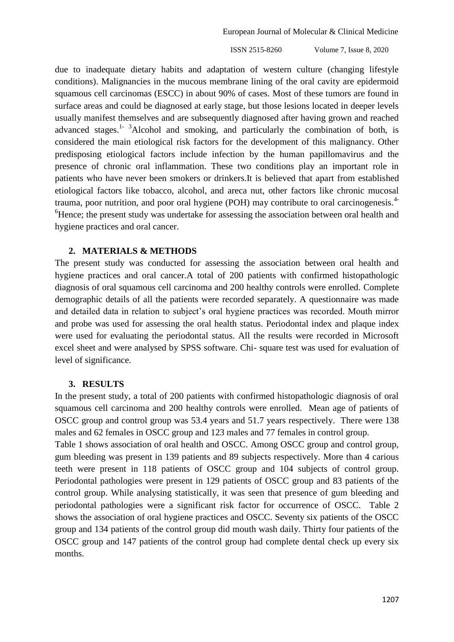due to inadequate dietary habits and adaptation of western culture (changing lifestyle conditions). Malignancies in the mucous membrane lining of the oral cavity are epidermoid squamous cell carcinomas (ESCC) in about 90% of cases. Most of these tumors are found in surface areas and could be diagnosed at early stage, but those lesions located in deeper levels usually manifest themselves and are subsequently diagnosed after having grown and reached advanced stages.<sup>1-3</sup>Alcohol and smoking, and particularly the combination of both, is considered the main etiological risk factors for the development of this malignancy. Other predisposing etiological factors include infection by the human papillomavirus and the presence of chronic oral inflammation. These two conditions play an important role in patients who have never been smokers or drinkers.It is believed that apart from established etiological factors like tobacco, alcohol, and areca nut, other factors like chronic mucosal trauma, poor nutrition, and poor oral hygiene (POH) may contribute to oral carcinogenesis.<sup>4-</sup>  ${}^{6}$ Hence; the present study was undertake for assessing the association between oral health and hygiene practices and oral cancer.

#### **2. MATERIALS & METHODS**

The present study was conducted for assessing the association between oral health and hygiene practices and oral cancer.A total of 200 patients with confirmed histopathologic diagnosis of oral squamous cell carcinoma and 200 healthy controls were enrolled. Complete demographic details of all the patients were recorded separately. A questionnaire was made and detailed data in relation to subject's oral hygiene practices was recorded. Mouth mirror and probe was used for assessing the oral health status. Periodontal index and plaque index were used for evaluating the periodontal status. All the results were recorded in Microsoft excel sheet and were analysed by SPSS software. Chi- square test was used for evaluation of level of significance.

#### **3. RESULTS**

In the present study, a total of 200 patients with confirmed histopathologic diagnosis of oral squamous cell carcinoma and 200 healthy controls were enrolled. Mean age of patients of OSCC group and control group was 53.4 years and 51.7 years respectively. There were 138 males and 62 females in OSCC group and 123 males and 77 females in control group.

Table 1 shows association of oral health and OSCC. Among OSCC group and control group, gum bleeding was present in 139 patients and 89 subjects respectively. More than 4 carious teeth were present in 118 patients of OSCC group and 104 subjects of control group. Periodontal pathologies were present in 129 patients of OSCC group and 83 patients of the control group. While analysing statistically, it was seen that presence of gum bleeding and periodontal pathologies were a significant risk factor for occurrence of OSCC. Table 2 shows the association of oral hygiene practices and OSCC. Seventy six patients of the OSCC group and 134 patients of the control group did mouth wash daily. Thirty four patients of the OSCC group and 147 patients of the control group had complete dental check up every six months.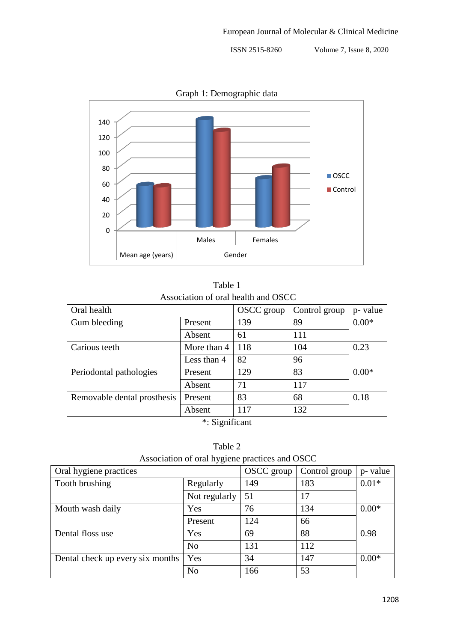

Graph 1: Demographic data

| Table 1                             |  |
|-------------------------------------|--|
| Association of oral health and OSCC |  |

| Oral health                 |             | OSCC group | Control group | p- value |  |  |  |
|-----------------------------|-------------|------------|---------------|----------|--|--|--|
| Gum bleeding                | Present     | 139        | 89            | $0.00*$  |  |  |  |
|                             | Absent      | 61         | 111           |          |  |  |  |
| Carious teeth               | More than 4 | 118        | 104           | 0.23     |  |  |  |
|                             | Less than 4 | 82         | 96            |          |  |  |  |
| Periodontal pathologies     | Present     | 129        | 83            | $0.00*$  |  |  |  |
|                             | Absent      | 71         | 117           |          |  |  |  |
| Removable dental prosthesis | Present     | 83         | 68            | 0.18     |  |  |  |
|                             | Absent      | 117        | 132           |          |  |  |  |
| $\cdot$ $\sim$<br>∙ ~ ف     |             |            |               |          |  |  |  |

\*: Significant

Table 2 Association of oral hygiene practices and OSCC

| $11000$ eration of oral $n_{\text{B}}$ grene praetices and object |            |               |          |  |  |  |  |
|-------------------------------------------------------------------|------------|---------------|----------|--|--|--|--|
|                                                                   | OSCC group | Control group | p- value |  |  |  |  |
| Regularly                                                         | 149        | 183           | $0.01*$  |  |  |  |  |
| Not regularly                                                     | 51         | 17            |          |  |  |  |  |
| Yes                                                               | 76         | 134           | $0.00*$  |  |  |  |  |
| Present                                                           | 124        | 66            |          |  |  |  |  |
| Yes                                                               | 69         | 88            | 0.98     |  |  |  |  |
| N <sub>o</sub>                                                    | 131        | 112           |          |  |  |  |  |
| Yes                                                               | 34         | 147           | $0.00*$  |  |  |  |  |
| N <sub>o</sub>                                                    | 166        | 53            |          |  |  |  |  |
|                                                                   |            |               |          |  |  |  |  |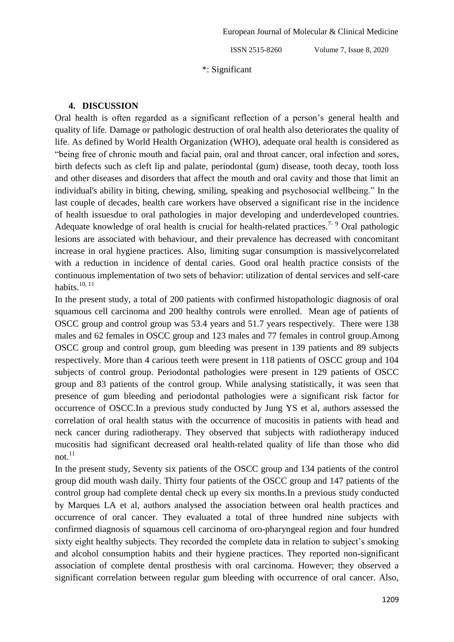\*: Significant

#### **4. DISCUSSION**

Oral health is often regarded as a significant reflection of a person's general health and quality of life. Damage or pathologic destruction of oral health also deteriorates the quality of life. As defined by World Health Organization (WHO), adequate oral health is considered as "being free of chronic mouth and facial pain, oral and throat cancer, oral infection and sores, birth defects such as cleft lip and palate, periodontal (gum) disease, tooth decay, tooth loss and other diseases and disorders that affect the mouth and oral cavity and those that limit an individual's ability in biting, chewing, smiling, speaking and psychosocial wellbeing." In the last couple of decades, health care workers have observed a significant rise in the incidence of health issuesdue to oral pathologies in major developing and underdeveloped countries. Adequate knowledge of oral health is crucial for health-related practices.<sup>7-9</sup> Oral pathologic lesions are associated with behaviour, and their prevalence has decreased with concomitant increase in oral hygiene practices. Also, limiting sugar consumption is massivelycorrelated with a reduction in incidence of dental caries. Good oral health practice consists of the continuous implementation of two sets of behavior: utilization of dental services and self-care habits. $10, 11$ 

In the present study, a total of 200 patients with confirmed histopathologic diagnosis of oral squamous cell carcinoma and 200 healthy controls were enrolled. Mean age of patients of OSCC group and control group was 53.4 years and 51.7 years respectively. There were 138 males and 62 females in OSCC group and 123 males and 77 females in control group.Among OSCC group and control group, gum bleeding was present in 139 patients and 89 subjects respectively. More than 4 carious teeth were present in 118 patients of OSCC group and 104 subjects of control group. Periodontal pathologies were present in 129 patients of OSCC group and 83 patients of the control group. While analysing statistically, it was seen that presence of gum bleeding and periodontal pathologies were a significant risk factor for occurrence of OSCC.In a previous study conducted by Jung YS et al, authors assessed the correlation of oral health status with the occurrence of mucositis in patients with head and neck cancer during radiotherapy. They observed that subjects with radiotherapy induced mucositis had significant decreased oral health-related quality of life than those who did not. $^{11}$ 

In the present study, Seventy six patients of the OSCC group and 134 patients of the control group did mouth wash daily. Thirty four patients of the OSCC group and 147 patients of the control group had complete dental check up every six months.In a previous study conducted by Marques LA et al, authors analysed the association between oral health practices and occurrence of oral cancer. They evaluated a total of three hundred nine subjects with confirmed diagnosis of squamous cell carcinoma of oro-pharyngeal region and four hundred sixty eight healthy subjects. They recorded the complete data in relation to subject's smoking and alcohol consumption habits and their hygiene practices. They reported non-significant association of complete dental prosthesis with oral carcinoma. However; they observed a significant correlation between regular gum bleeding with occurrence of oral cancer. Also,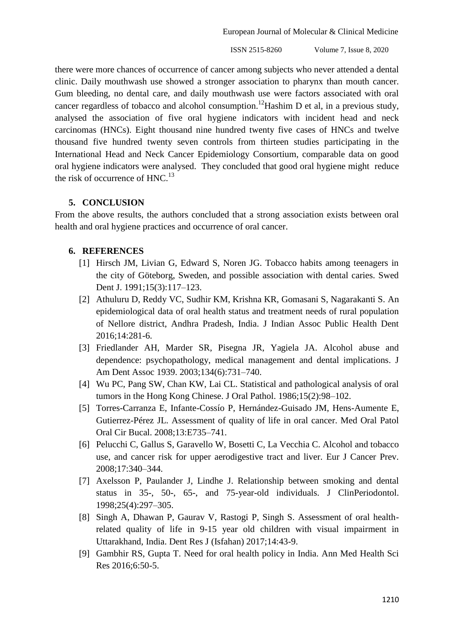European Journal of Molecular & Clinical Medicine

ISSN 2515-8260 Volume 7, Issue 8, 2020

there were more chances of occurrence of cancer among subjects who never attended a dental clinic. Daily mouthwash use showed a stronger association to pharynx than mouth cancer. Gum bleeding, no dental care, and daily mouthwash use were factors associated with oral cancer regardless of tobacco and alcohol consumption.<sup>12</sup>Hashim D et al, in a previous study, analysed the association of five oral hygiene indicators with incident head and neck carcinomas (HNCs). Eight thousand nine hundred twenty five cases of HNCs and twelve thousand five hundred twenty seven controls from thirteen studies participating in the International Head and Neck Cancer Epidemiology Consortium, comparable data on good oral hygiene indicators were analysed. They concluded that good oral hygiene might reduce the risk of occurrence of  $HNC<sup>13</sup>$ 

### **5. CONCLUSION**

From the above results, the authors concluded that a strong association exists between oral health and oral hygiene practices and occurrence of oral cancer.

## **6. REFERENCES**

- [1] Hirsch JM, Livian G, Edward S, Noren JG. Tobacco habits among teenagers in the city of Göteborg, Sweden, and possible association with dental caries. Swed Dent J. 1991;15(3):117–123.
- [2] Athuluru D, Reddy VC, Sudhir KM, Krishna KR, Gomasani S, Nagarakanti S. An epidemiological data of oral health status and treatment needs of rural population of Nellore district, Andhra Pradesh, India. J Indian Assoc Public Health Dent 2016;14:281-6.
- [3] Friedlander AH, Marder SR, Pisegna JR, Yagiela JA. Alcohol abuse and dependence: psychopathology, medical management and dental implications. J Am Dent Assoc 1939. 2003;134(6):731–740.
- [4] Wu PC, Pang SW, Chan KW, Lai CL. Statistical and pathological analysis of oral tumors in the Hong Kong Chinese. J Oral Pathol. 1986;15(2):98–102.
- [5] Torres-Carranza E, Infante-Cossío P, Hernández-Guisado JM, Hens-Aumente E, Gutierrez-Pérez JL. Assessment of quality of life in oral cancer. Med Oral Patol Oral Cir Bucal. 2008;13:E735–741.
- [6] Pelucchi C, Gallus S, Garavello W, Bosetti C, La Vecchia C. Alcohol and tobacco use, and cancer risk for upper aerodigestive tract and liver. Eur J Cancer Prev. 2008;17:340–344.
- [7] Axelsson P, Paulander J, Lindhe J. Relationship between smoking and dental status in 35-, 50-, 65-, and 75-year-old individuals. J ClinPeriodontol. 1998;25(4):297–305.
- [8] Singh A, Dhawan P, Gaurav V, Rastogi P, Singh S. Assessment of oral healthrelated quality of life in 9-15 year old children with visual impairment in Uttarakhand, India. Dent Res J (Isfahan) 2017;14:43-9.
- [9] Gambhir RS, Gupta T. Need for oral health policy in India. Ann Med Health Sci Res 2016;6:50-5.